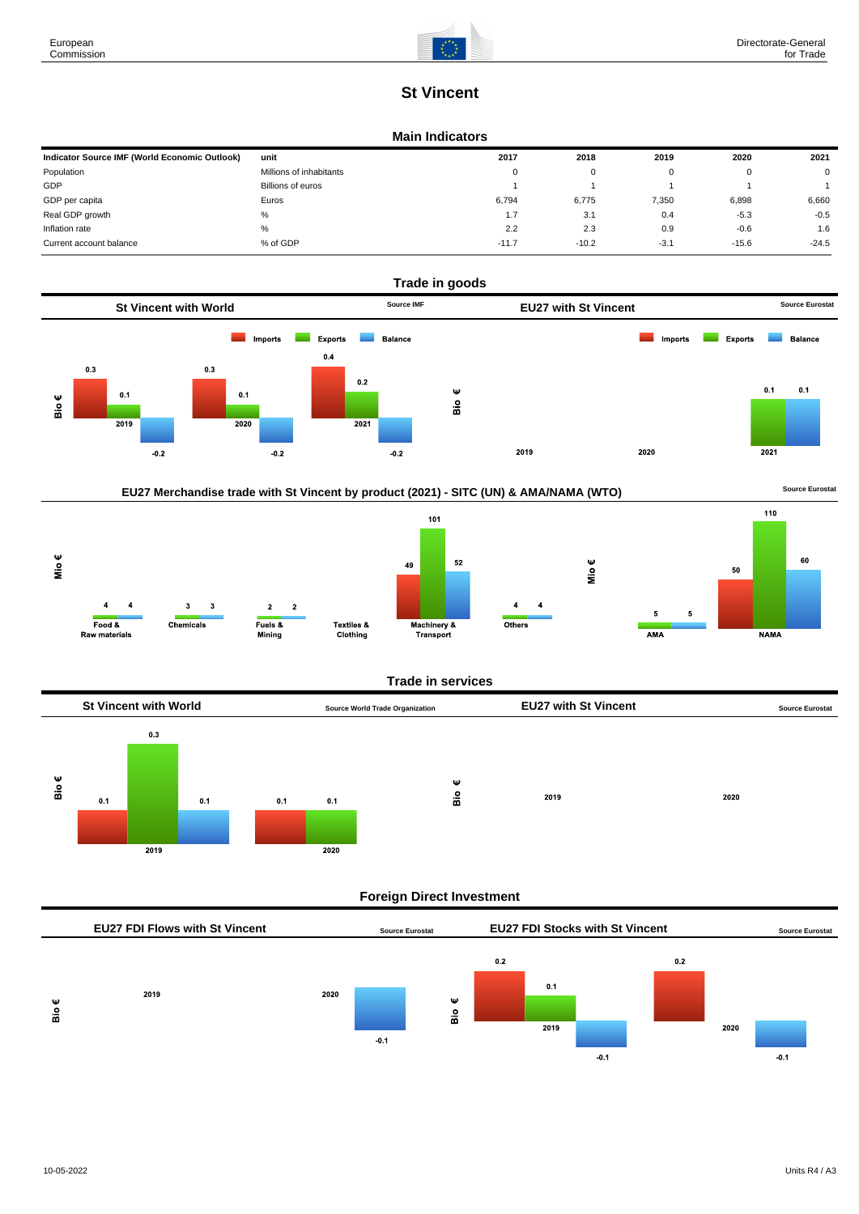# **St Vincent**

#### **Main Indicators**

| Indicator Source IMF (World Economic Outlook) | unit                    | 2017     | 2018    | 2019   | 2020    | 2021        |
|-----------------------------------------------|-------------------------|----------|---------|--------|---------|-------------|
| Population                                    | Millions of inhabitants | $\Omega$ | 0       |        |         | $\mathbf 0$ |
| GDP                                           | Billions of euros       |          |         |        |         |             |
| GDP per capita                                | Euros                   | 6.794    | 6.775   | 7,350  | 6,898   | 6,660       |
| Real GDP growth                               | %                       | 1.7      | 3.1     | 0.4    | $-5.3$  | $-0.5$      |
| Inflation rate                                | $\%$                    | 2.2      | 2.3     | 0.9    | $-0.6$  | 1.6         |
| Current account balance                       | % of GDP                | $-11.7$  | $-10.2$ | $-3.1$ | $-15.6$ | $-24.5$     |











**NAMA** 

Mio€

 $AMA$ 

 $\overline{4}$ 

Others

### **Trade in services**



### **Foreign Direct Investment**